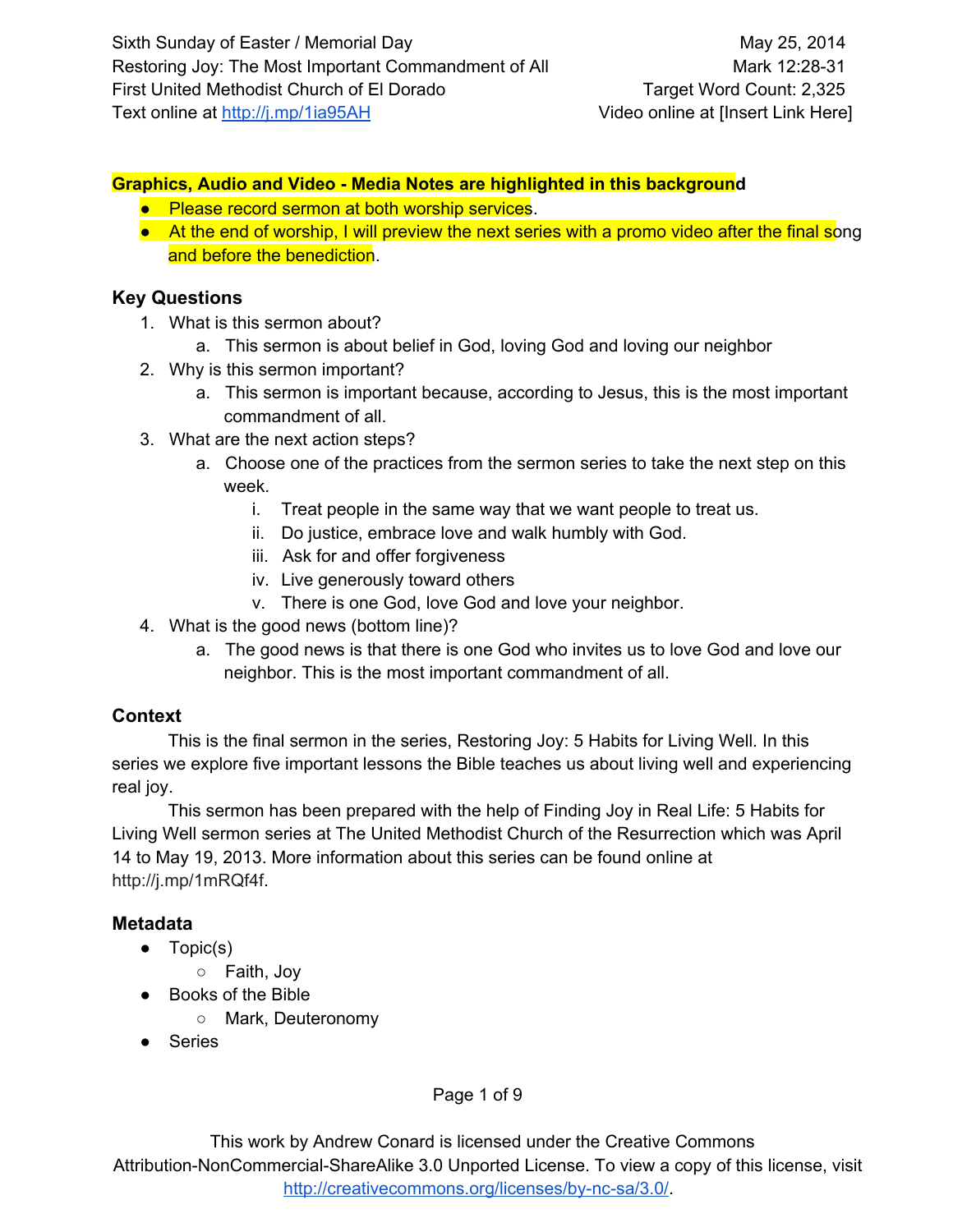### **Graphics, Audio and Video Media Notes are highlighted in this background**

- Please record sermon at both worship services.
- At the end of worship, I will preview the next series with a promo video after the final song and before the benediction.

### **Key Questions**

- 1. What is this sermon about?
	- a. This sermon is about belief in God, loving God and loving our neighbor
- 2. Why is this sermon important?
	- a. This sermon is important because, according to Jesus, this is the most important commandment of all.
- 3. What are the next action steps?
	- a. Choose one of the practices from the sermon series to take the next step on this week.
		- i. Treat people in the same way that we want people to treat us.
		- ii. Do justice, embrace love and walk humbly with God.
		- iii. Ask for and offer forgiveness
		- iv. Live generously toward others
		- v. There is one God, love God and love your neighbor.
- 4. What is the good news (bottom line)?
	- a. The good news is that there is one God who invites us to love God and love our neighbor. This is the most important commandment of all.

# **Context**

This is the final sermon in the series, Restoring Joy: 5 Habits for Living Well. In this series we explore five important lessons the Bible teaches us about living well and experiencing real joy.

This sermon has been prepared with the help of Finding Joy in Real Life: 5 Habits for Living Well sermon series at The United Methodist Church of the Resurrection which was April 14 to May 19, 2013. More information about this series can be found online at [http://j.mp/1mRQf4f.](http://www.google.com/url?q=http%3A%2F%2Fj.mp%2F1mRQf4f&sa=D&sntz=1&usg=AFQjCNFRU1l67JqGR49mHE3tYAOxA4EMTA)

# **Metadata**

- Topic(s)
	- Faith, Joy
- Books of the Bible
	- Mark, Deuteronomy
- Series

Page 1 of 9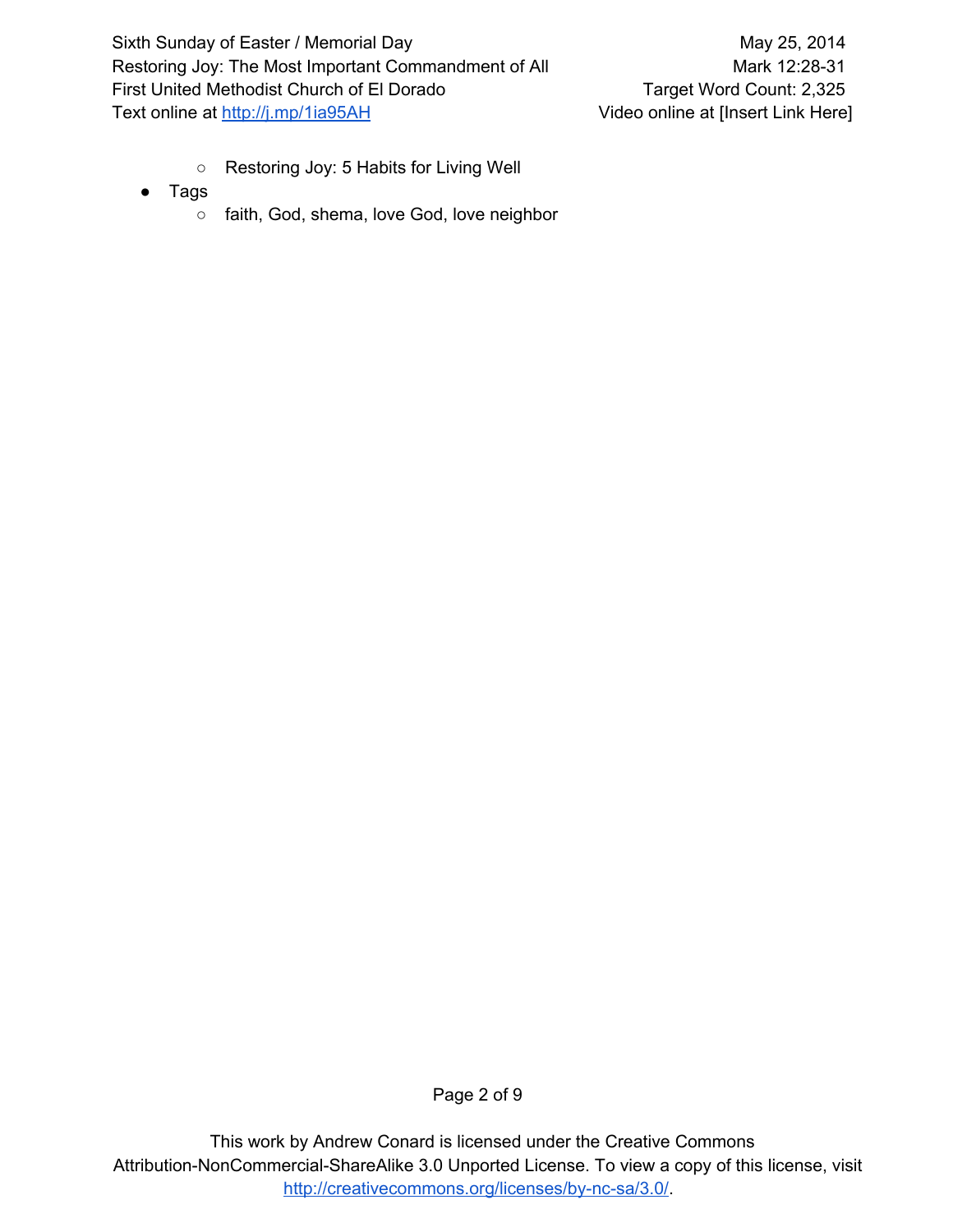- Restoring Joy: 5 Habits for Living Well
- Tags
	- faith, God, shema, love God, love neighbor

Page 2 of 9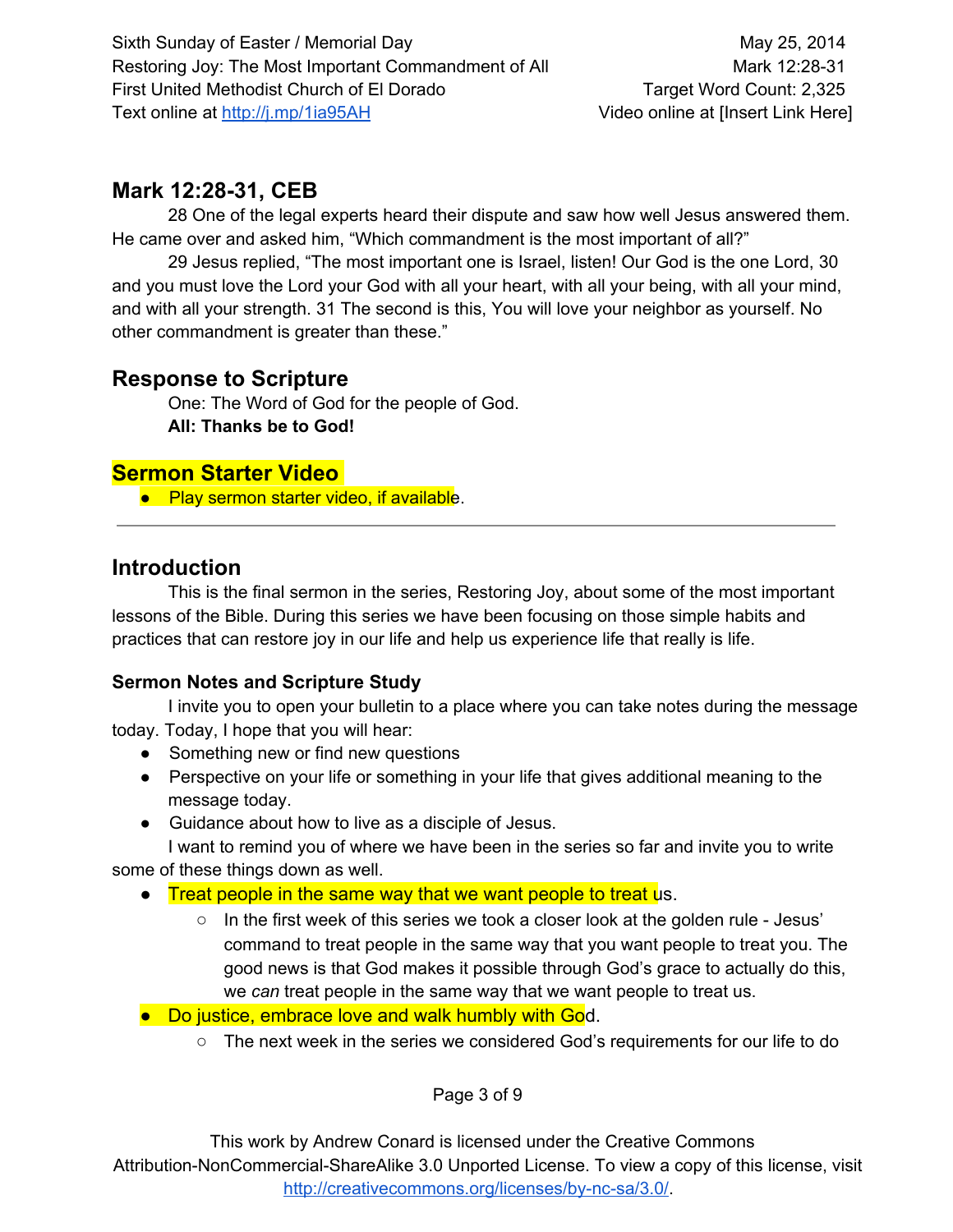# **Mark 12:2831, CEB**

28 One of the legal experts heard their dispute and saw how well Jesus answered them. He came over and asked him, "Which commandment is the most important of all?"

29 Jesus replied, "The most important one is Israel, listen! Our God is the one Lord, 30 and you must love the Lord your God with all your heart, with all your being, with all your mind, and with all your strength. 31 The second is this, You will love your neighbor as yourself. No other commandment is greater than these."

# **Response to Scripture**

One: The Word of God for the people of God. **All: Thanks be to God!**

# **Sermon Starter Video**

● Play sermon starter video, if available.

# **Introduction**

This is the final sermon in the series, Restoring Joy, about some of the most important lessons of the Bible. During this series we have been focusing on those simple habits and practices that can restore joy in our life and help us experience life that really is life.

# **Sermon Notes and Scripture Study**

I invite you to open your bulletin to a place where you can take notes during the message today. Today, I hope that you will hear:

- Something new or find new questions
- Perspective on your life or something in your life that gives additional meaning to the message today.
- Guidance about how to live as a disciple of Jesus.

I want to remind you of where we have been in the series so far and invite you to write some of these things down as well.

- Treat people in the same way that we want people to treat us.
	- In the first week of this series we took a closer look at the golden rule Jesus' command to treat people in the same way that you want people to treat you. The good news is that God makes it possible through God's grace to actually do this, we *can* treat people in the same way that we want people to treat us.
- Do justice, embrace love and walk humbly with God.
	- The next week in the series we considered God's requirements for our life to do

Page 3 of 9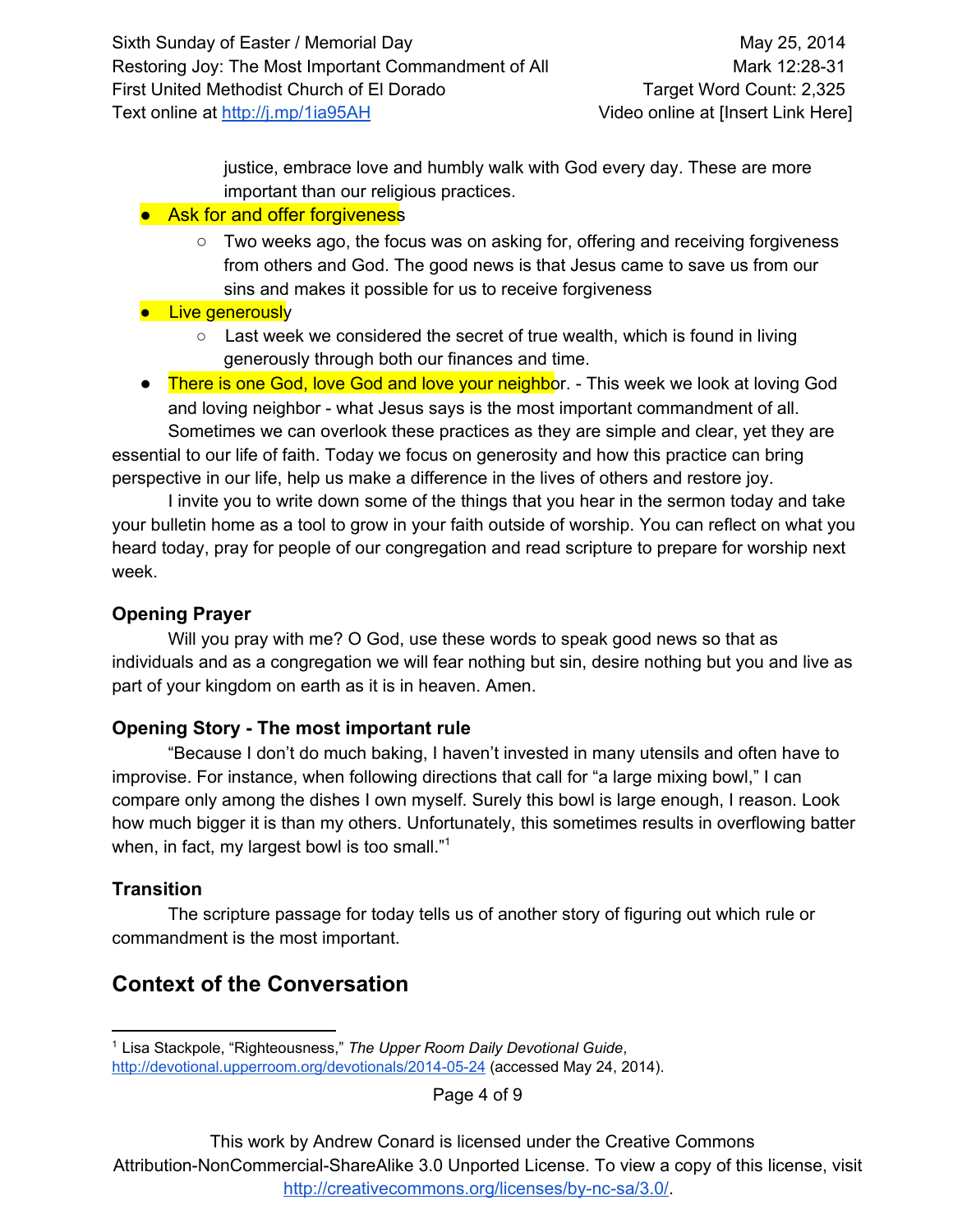justice, embrace love and humbly walk with God every day. These are more important than our religious practices.

### ● Ask for and offer forgiveness

 $\circ$  Two weeks ago, the focus was on asking for, offering and receiving forgiveness from others and God. The good news is that Jesus came to save us from our sins and makes it possible for us to receive forgiveness

# **•** Live generously

- $\circ$  Last week we considered the secret of true wealth, which is found in living generously through both our finances and time.
- There is one God, love God and love your neighbor. This week we look at loving God and loving neighbor - what Jesus says is the most important commandment of all. Sometimes we can overlook these practices as they are simple and clear, yet they are

essential to our life of faith. Today we focus on generosity and how this practice can bring perspective in our life, help us make a difference in the lives of others and restore joy.

I invite you to write down some of the things that you hear in the sermon today and take your bulletin home as a tool to grow in your faith outside of worship. You can reflect on what you heard today, pray for people of our congregation and read scripture to prepare for worship next week.

# **Opening Prayer**

Will you pray with me? O God, use these words to speak good news so that as individuals and as a congregation we will fear nothing but sin, desire nothing but you and live as part of your kingdom on earth as it is in heaven. Amen.

# **Opening Story The most important rule**

"Because I don't do much baking, I haven't invested in many utensils and often have to improvise. For instance, when following directions that call for "a large mixing bowl," I can compare only among the dishes I own myself. Surely this bowl is large enough, I reason. Look how much bigger it is than my others. Unfortunately, this sometimes results in overflowing batter when, in fact, my largest bowl is too small."<sup>1</sup>

# **Transition**

The scripture passage for today tells us of another story of figuring out which rule or commandment is the most important.

# **Context of the Conversation**

Page 4 of 9

<sup>1</sup> Lisa Stackpole, "Righteousness," *The Upper Room Daily Devotional Guide*, http://devotional.upperroom.org/devotionals/2014-05-24 (accessed May 24, 2014).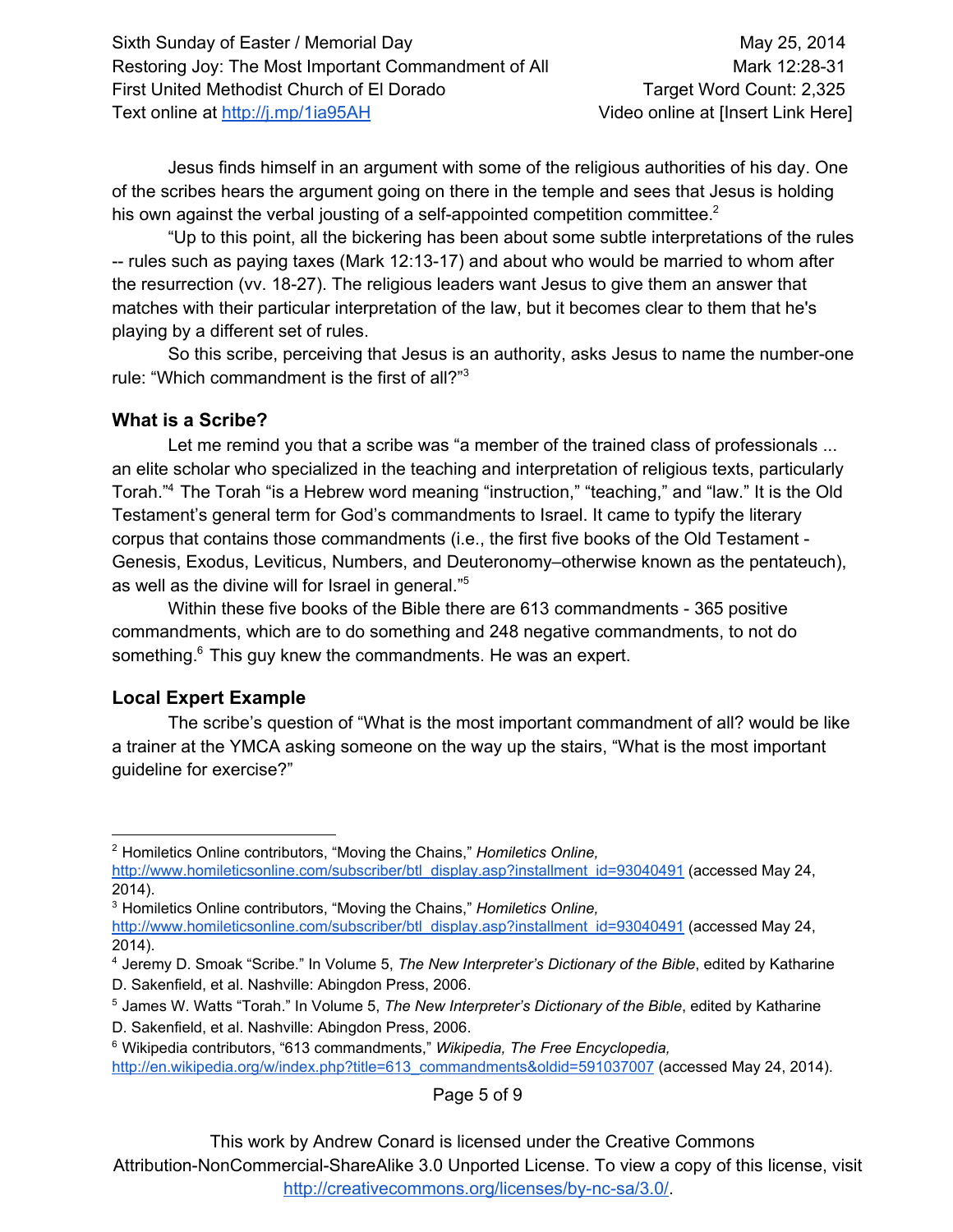Jesus finds himself in an argument with some of the religious authorities of his day. One of the scribes hears the argument going on there in the temple and sees that Jesus is holding his own against the verbal jousting of a self-appointed competition committee. $2$ 

"Up to this point, all the bickering has been about some subtle interpretations of the rules  $-$  rules such as paying taxes (Mark 12:13-17) and about who would be married to whom after the resurrection (vv. 1827). The religious leaders want Jesus to give them an answer that matches with their particular interpretation of the law, but it becomes clear to them that he's playing by a different set of rules.

So this scribe, perceiving that Jesus is an authority, asks Jesus to name the number-one rule: "Which commandment is the first of all?"<sup>3</sup>

### **What is a Scribe?**

Let me remind you that a scribe was "a member of the trained class of professionals ... an elite scholar who specialized in the teaching and interpretation of religious texts, particularly Torah."<sup>4</sup> The Torah "is a Hebrew word meaning "instruction," "teaching," and "law." It is the Old Testament's general term for God's commandments to Israel. It came to typify the literary corpus that contains those commandments (i.e., the first five books of the Old Testament Genesis, Exodus, Leviticus, Numbers, and Deuteronomy–otherwise known as the pentateuch), as well as the divine will for Israel in general." 5

Within these five books of the Bible there are 613 commandments - 365 positive commandments, which are to do something and 248 negative commandments, to not do something. $6$  This guy knew the commandments. He was an expert.

# **Local Expert Example**

The scribe's question of "What is the most important commandment of all? would be like a trainer at the YMCA asking someone on the way up the stairs, "What is the most important guideline for exercise?"

Page 5 of 9

<sup>2</sup> Homiletics Online contributors, "Moving the Chains," *Homiletics Online,*

[http://www.homileticsonline.com/subscriber/btl\\_display.asp?installment\\_id=93040491](http://www.google.com/url?q=http%3A%2F%2Fwww.homileticsonline.com%2Fsubscriber%2Fbtl_display.asp%3Finstallment_id%3D93040491&sa=D&sntz=1&usg=AFQjCNFXqlbOoCZoRa3leN_9x5WRypjUKw) (accessed May 24, 2014).

<sup>3</sup> Homiletics Online contributors, "Moving the Chains," *Homiletics Online,*

[http://www.homileticsonline.com/subscriber/btl\\_display.asp?installment\\_id=93040491](http://www.google.com/url?q=http%3A%2F%2Fwww.homileticsonline.com%2Fsubscriber%2Fbtl_display.asp%3Finstallment_id%3D93040491&sa=D&sntz=1&usg=AFQjCNFXqlbOoCZoRa3leN_9x5WRypjUKw) (accessed May 24, 2014).

<sup>4</sup> Jeremy D. Smoak "Scribe." In Volume 5, *The New Interpreter's Dictionary of the Bible*, edited by Katharine D. Sakenfield, et al. Nashville: Abingdon Press, 2006.

<sup>5</sup> James W. Watts "Torah." In Volume 5, *The New Interpreter's Dictionary of the Bible*, edited by Katharine D. Sakenfield, et al. Nashville: Abingdon Press, 2006.

<sup>6</sup> Wikipedia contributors, "613 commandments," *Wikipedia, The Free Encyclopedia,* [http://en.wikipedia.org/w/index.php?title=613\\_commandments&oldid=591037007](http://www.google.com/url?q=http%3A%2F%2Fen.wikipedia.org%2Fw%2Findex.php%3Ftitle%3D613_commandments%26oldid%3D591037007&sa=D&sntz=1&usg=AFQjCNEEhJqbHJYyXFSzAbgUOcVLgjKnwA) (accessed May 24, 2014).

This work by Andrew Conard is licensed under the Creative Commons

Attribution-NonCommercial-ShareAlike 3.0 Unported License. To view a copy of this license, visit http://creativecommons.org/licenses/by-nc-sa/3.0/.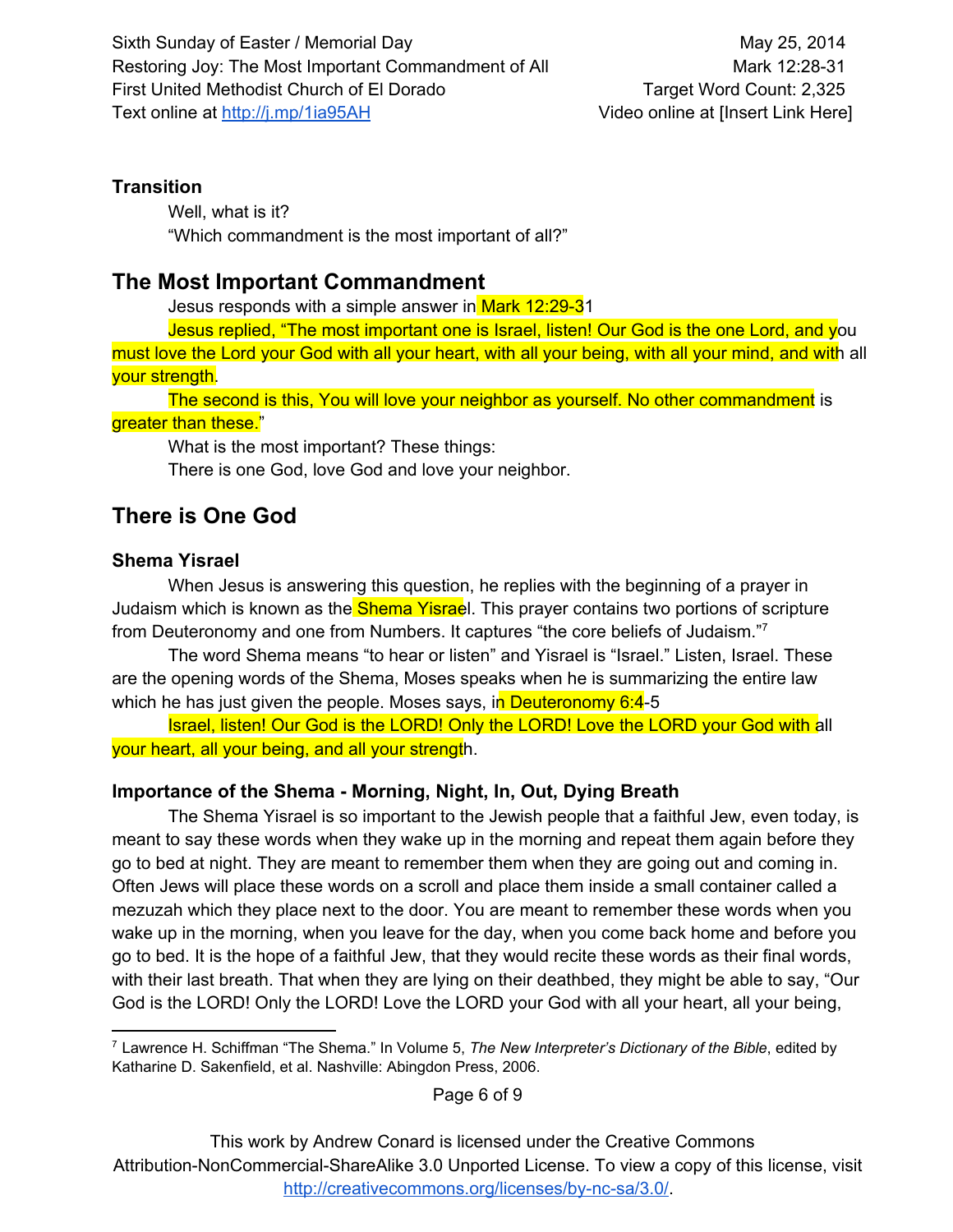### **Transition**

Well, what is it? "Which commandment is the most important of all?"

# **The Most Important Commandment**

Jesus responds with a simple answer in Mark 12:29-31

Jesus replied, "The most important one is Israel, listen! Our God is the one Lord, and you

must love the Lord your God with all your heart, with all your being, with all your mind, and with all your strength.

The second is this, You will love your neighbor as yourself. No other commandment is greater than these."

What is the most important? These things: There is one God, love God and love your neighbor.

# **There is One God**

### **Shema Yisrael**

When Jesus is answering this question, he replies with the beginning of a prayer in Judaism which is known as the **Shema Yisrae**l. This prayer contains two portions of scripture from Deuteronomy and one from Numbers. It captures "the core beliefs of Judaism."<sup>7</sup>

The word Shema means "to hear or listen" and Yisrael is "Israel." Listen, Israel. These are the opening words of the Shema, Moses speaks when he is summarizing the entire law which he has just given the people. Moses says, in Deuteronomy  $6:4-5$ 

Israel, listen! Our God is the LORD! Only the LORD! Love the LORD your God with all your heart, all your being, and all your strength.

# **Importance of the Shema Morning, Night, In, Out, Dying Breath**

The Shema Yisrael is so important to the Jewish people that a faithful Jew, even today, is meant to say these words when they wake up in the morning and repeat them again before they go to bed at night. They are meant to remember them when they are going out and coming in. Often Jews will place these words on a scroll and place them inside a small container called a mezuzah which they place next to the door. You are meant to remember these words when you wake up in the morning, when you leave for the day, when you come back home and before you go to bed. It is the hope of a faithful Jew, that they would recite these words as their final words, with their last breath. That when they are lying on their deathbed, they might be able to say, "Our God is the LORD! Only the LORD! Love the LORD your God with all your heart, all your being,

Page 6 of 9

<sup>7</sup> Lawrence H. Schiffman "The Shema." In Volume 5, *The New Interpreter's Dictionary of the Bible*, edited by Katharine D. Sakenfield, et al. Nashville: Abingdon Press, 2006.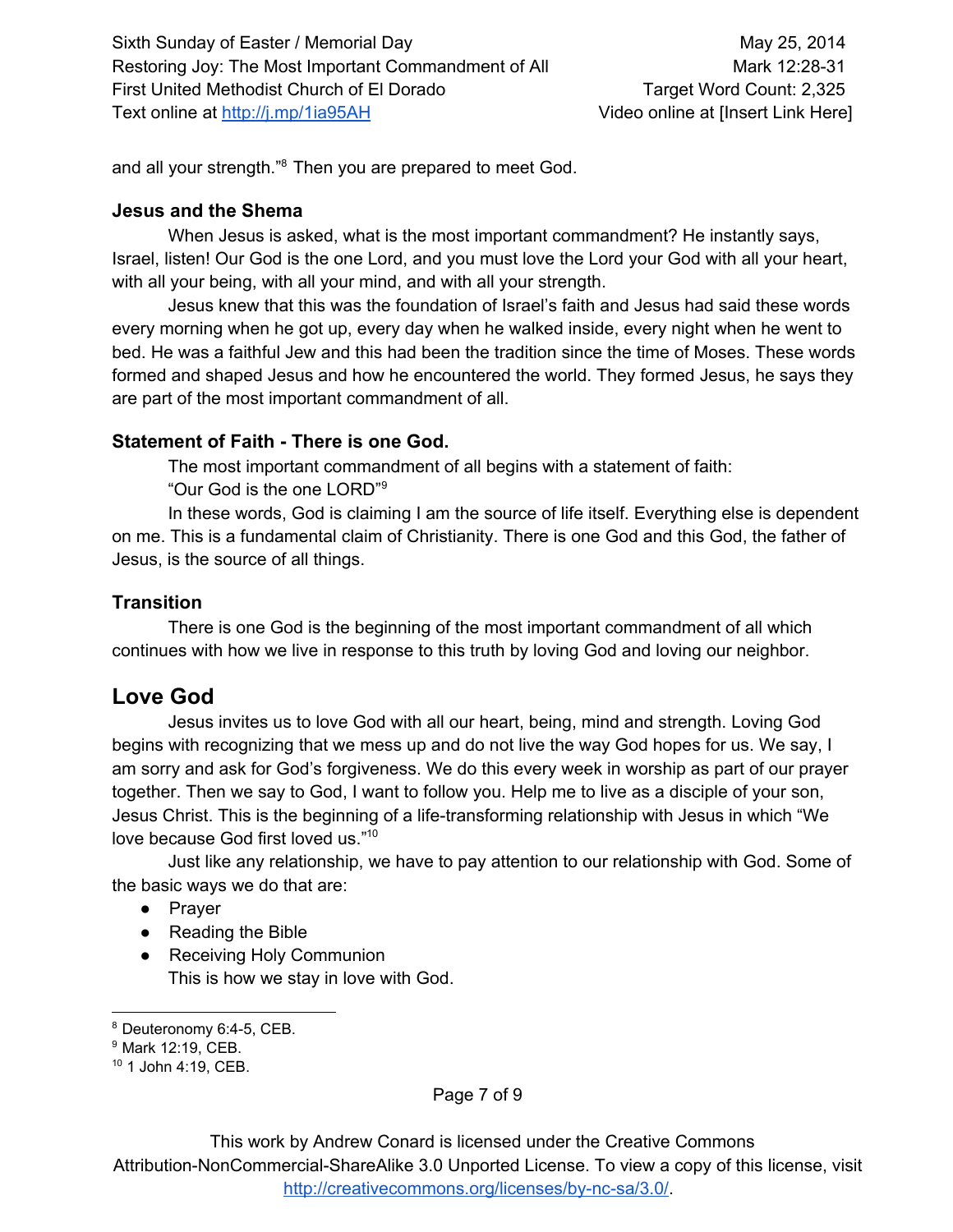and all your strength."<sup>8</sup> Then you are prepared to meet God.

#### **Jesus and the Shema**

When Jesus is asked, what is the most important commandment? He instantly says, Israel, listen! Our God is the one Lord, and you must love the Lord your God with all your heart, with all your being, with all your mind, and with all your strength.

Jesus knew that this was the foundation of Israel's faith and Jesus had said these words every morning when he got up, every day when he walked inside, every night when he went to bed. He was a faithful Jew and this had been the tradition since the time of Moses. These words formed and shaped Jesus and how he encountered the world. They formed Jesus, he says they are part of the most important commandment of all.

### **Statement of Faith There is one God.**

The most important commandment of all begins with a statement of faith:

"Our God is the one LORD" 9

In these words, God is claiming I am the source of life itself. Everything else is dependent on me. This is a fundamental claim of Christianity. There is one God and this God, the father of Jesus, is the source of all things.

### **Transition**

There is one God is the beginning of the most important commandment of all which continues with how we live in response to this truth by loving God and loving our neighbor.

# **Love God**

Jesus invites us to love God with all our heart, being, mind and strength. Loving God begins with recognizing that we mess up and do not live the way God hopes for us. We say, I am sorry and ask for God's forgiveness. We do this every week in worship as part of our prayer together. Then we say to God, I want to follow you. Help me to live as a disciple of your son, Jesus Christ. This is the beginning of a life-transforming relationship with Jesus in which "We love because God first loved us." 10

Just like any relationship, we have to pay attention to our relationship with God. Some of the basic ways we do that are:

- Prayer
- Reading the Bible
- Receiving Holy Communion This is how we stay in love with God.

Page 7 of 9

<sup>&</sup>lt;sup>8</sup> Deuteronomy 6:4-5, CEB.

<sup>9</sup> Mark 12:19, CEB.

<sup>10</sup> 1 John 4:19, CEB.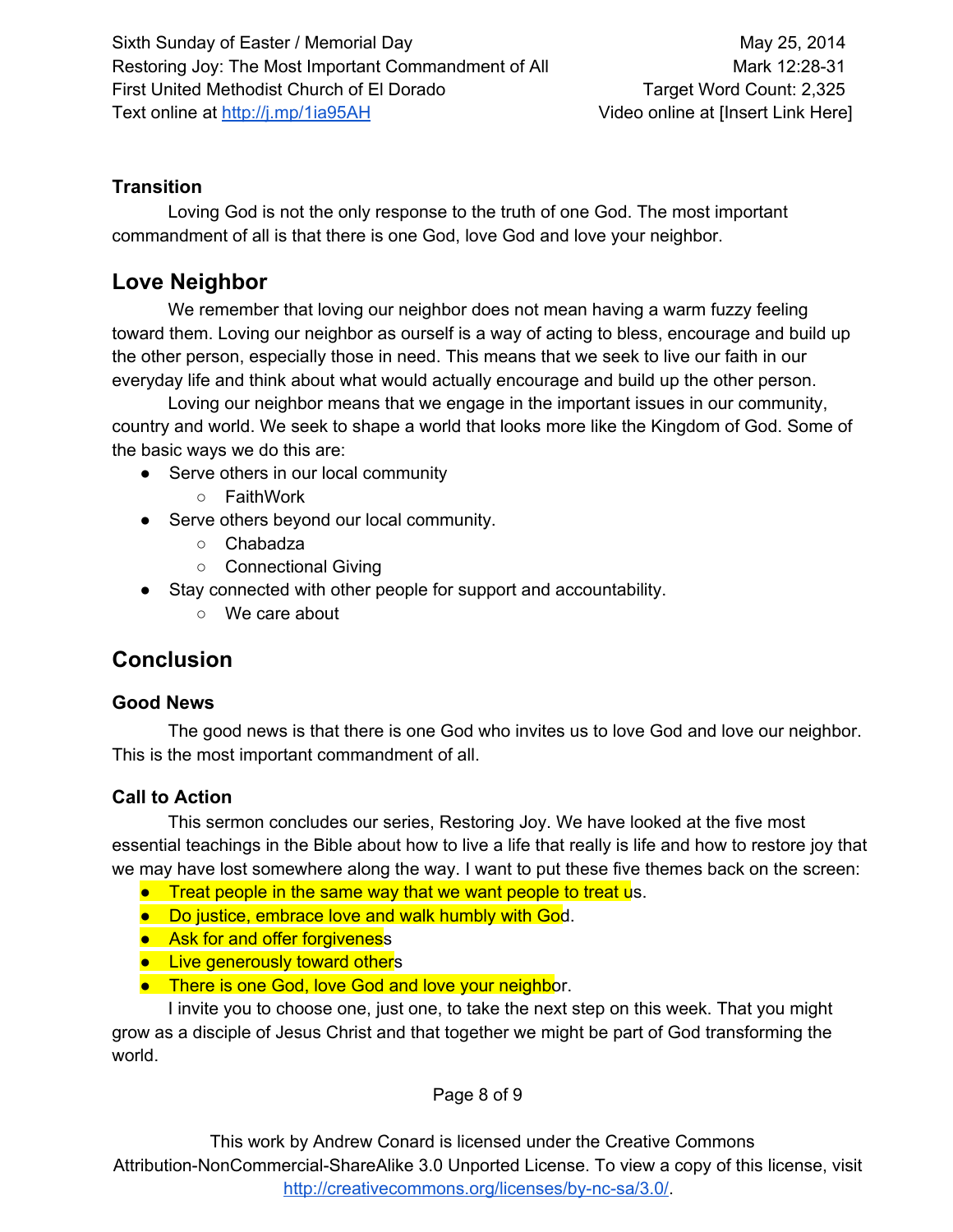### **Transition**

Loving God is not the only response to the truth of one God. The most important commandment of all is that there is one God, love God and love your neighbor.

# **Love Neighbor**

We remember that loving our neighbor does not mean having a warm fuzzy feeling toward them. Loving our neighbor as ourself is a way of acting to bless, encourage and build up the other person, especially those in need. This means that we seek to live our faith in our everyday life and think about what would actually encourage and build up the other person.

Loving our neighbor means that we engage in the important issues in our community, country and world. We seek to shape a world that looks more like the Kingdom of God. Some of the basic ways we do this are:

- Serve others in our local community
	- FaithWork
- Serve others beyond our local community.
	- Chabadza
	- Connectional Giving
- Stay connected with other people for support and accountability.
	- We care about

# **Conclusion**

### **Good News**

The good news is that there is one God who invites us to love God and love our neighbor. This is the most important commandment of all.

### **Call to Action**

This sermon concludes our series, Restoring Joy. We have looked at the five most essential teachings in the Bible about how to live a life that really is life and how to restore joy that we may have lost somewhere along the way. I want to put these five themes back on the screen:

- **•** Treat people in the same way that we want people to treat us.
- Do justice, embrace love and walk humbly with God.
- Ask for and offer forgiveness
- Live generously toward others
- **•** There is one God, love God and love your neighbor.

I invite you to choose one, just one, to take the next step on this week. That you might grow as a disciple of Jesus Christ and that together we might be part of God transforming the world.

Page 8 of 9